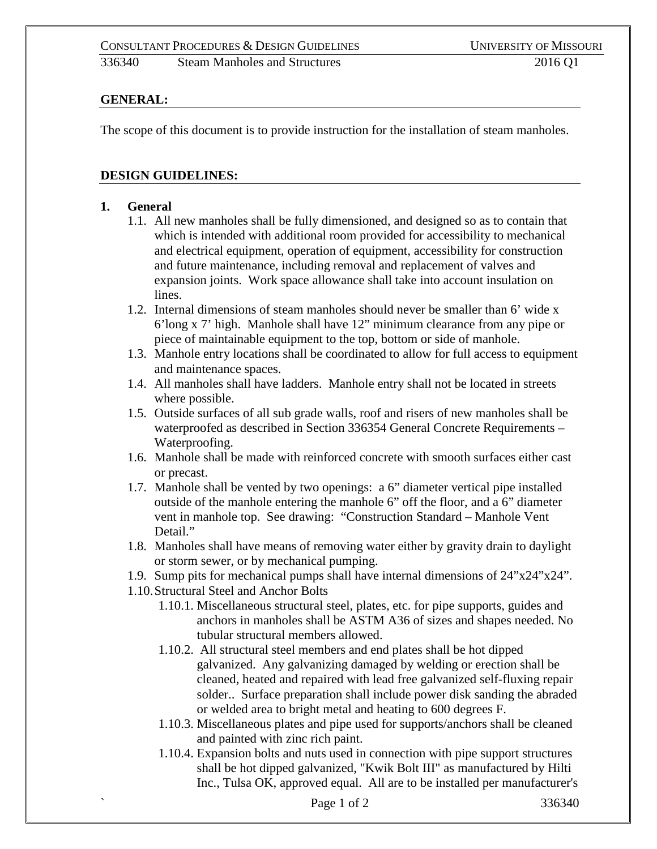336340 Steam Manholes and Structures 2016 Q1

# **GENERAL:**

The scope of this document is to provide instruction for the installation of steam manholes.

# **DESIGN GUIDELINES:**

## **1. General**

- 1.1. All new manholes shall be fully dimensioned, and designed so as to contain that which is intended with additional room provided for accessibility to mechanical and electrical equipment, operation of equipment, accessibility for construction and future maintenance, including removal and replacement of valves and expansion joints. Work space allowance shall take into account insulation on lines.
- 1.2. Internal dimensions of steam manholes should never be smaller than 6' wide x 6'long x 7' high. Manhole shall have 12" minimum clearance from any pipe or piece of maintainable equipment to the top, bottom or side of manhole.
- 1.3. Manhole entry locations shall be coordinated to allow for full access to equipment and maintenance spaces.
- 1.4. All manholes shall have ladders. Manhole entry shall not be located in streets where possible.
- 1.5. Outside surfaces of all sub grade walls, roof and risers of new manholes shall be waterproofed as described in Section 336354 General Concrete Requirements – Waterproofing.
- 1.6. Manhole shall be made with reinforced concrete with smooth surfaces either cast or precast.
- 1.7. Manhole shall be vented by two openings: a 6" diameter vertical pipe installed outside of the manhole entering the manhole 6" off the floor, and a 6" diameter vent in manhole top. See drawing: "Construction Standard – Manhole Vent Detail."
- 1.8. Manholes shall have means of removing water either by gravity drain to daylight or storm sewer, or by mechanical pumping.
- 1.9. Sump pits for mechanical pumps shall have internal dimensions of  $24^{\circ}x24^{\circ}x24^{\circ}$ .
- 1.10.Structural Steel and Anchor Bolts
	- 1.10.1. Miscellaneous structural steel, plates, etc. for pipe supports, guides and anchors in manholes shall be ASTM A36 of sizes and shapes needed. No tubular structural members allowed.
	- 1.10.2. All structural steel members and end plates shall be hot dipped galvanized. Any galvanizing damaged by welding or erection shall be cleaned, heated and repaired with lead free galvanized self-fluxing repair solder.. Surface preparation shall include power disk sanding the abraded or welded area to bright metal and heating to 600 degrees F.
	- 1.10.3. Miscellaneous plates and pipe used for supports/anchors shall be cleaned and painted with zinc rich paint.
	- 1.10.4. Expansion bolts and nuts used in connection with pipe support structures shall be hot dipped galvanized, "Kwik Bolt III" as manufactured by Hilti Inc., Tulsa OK, approved equal. All are to be installed per manufacturer's